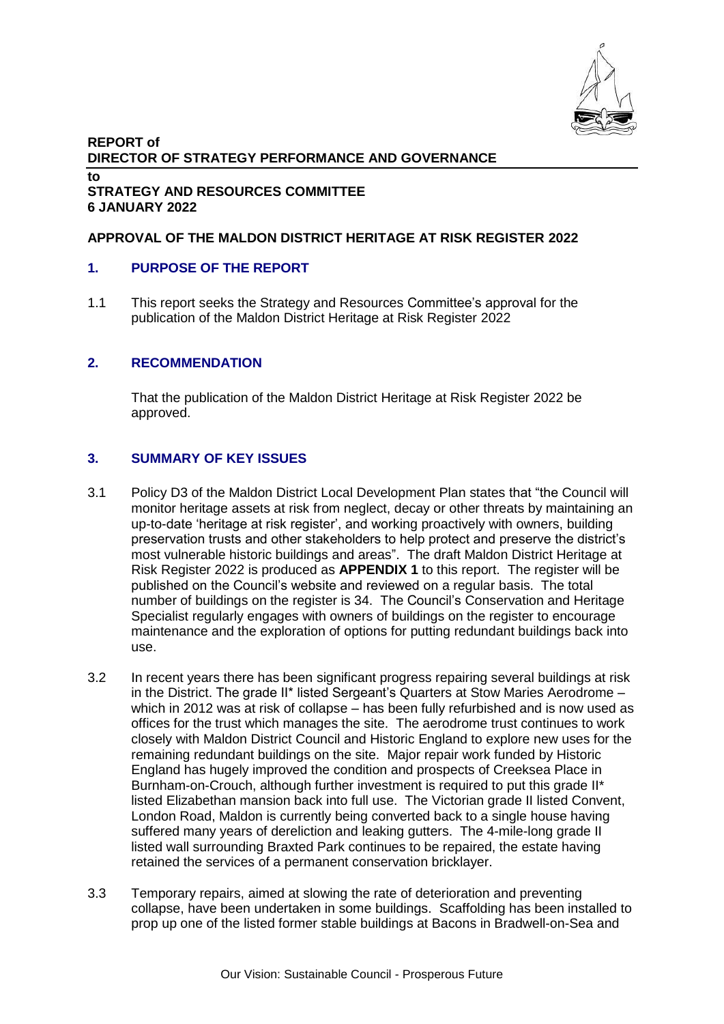

#### **REPORT of DIRECTOR OF STRATEGY PERFORMANCE AND GOVERNANCE to STRATEGY AND RESOURCES COMMITTEE 6 JANUARY 2022**

## **APPROVAL OF THE MALDON DISTRICT HERITAGE AT RISK REGISTER 2022**

## **1. PURPOSE OF THE REPORT**

1.1 This report seeks the Strategy and Resources Committee's approval for the publication of the Maldon District Heritage at Risk Register 2022

### **2. RECOMMENDATION**

That the publication of the Maldon District Heritage at Risk Register 2022 be approved.

### **3. SUMMARY OF KEY ISSUES**

- 3.1 Policy D3 of the Maldon District Local Development Plan states that "the Council will monitor heritage assets at risk from neglect, decay or other threats by maintaining an up-to-date 'heritage at risk register', and working proactively with owners, building preservation trusts and other stakeholders to help protect and preserve the district's most vulnerable historic buildings and areas". The draft Maldon District Heritage at Risk Register 2022 is produced as **APPENDIX 1** to this report. The register will be published on the Council's website and reviewed on a regular basis. The total number of buildings on the register is 34. The Council's Conservation and Heritage Specialist regularly engages with owners of buildings on the register to encourage maintenance and the exploration of options for putting redundant buildings back into use.
- 3.2 In recent years there has been significant progress repairing several buildings at risk in the District. The grade II\* listed Sergeant's Quarters at Stow Maries Aerodrome – which in 2012 was at risk of collapse – has been fully refurbished and is now used as offices for the trust which manages the site. The aerodrome trust continues to work closely with Maldon District Council and Historic England to explore new uses for the remaining redundant buildings on the site. Major repair work funded by Historic England has hugely improved the condition and prospects of Creeksea Place in Burnham-on-Crouch, although further investment is required to put this grade II<sup>\*</sup> listed Elizabethan mansion back into full use. The Victorian grade II listed Convent, London Road, Maldon is currently being converted back to a single house having suffered many years of dereliction and leaking gutters. The 4-mile-long grade II listed wall surrounding Braxted Park continues to be repaired, the estate having retained the services of a permanent conservation bricklayer.
- 3.3 Temporary repairs, aimed at slowing the rate of deterioration and preventing collapse, have been undertaken in some buildings. Scaffolding has been installed to prop up one of the listed former stable buildings at Bacons in Bradwell-on-Sea and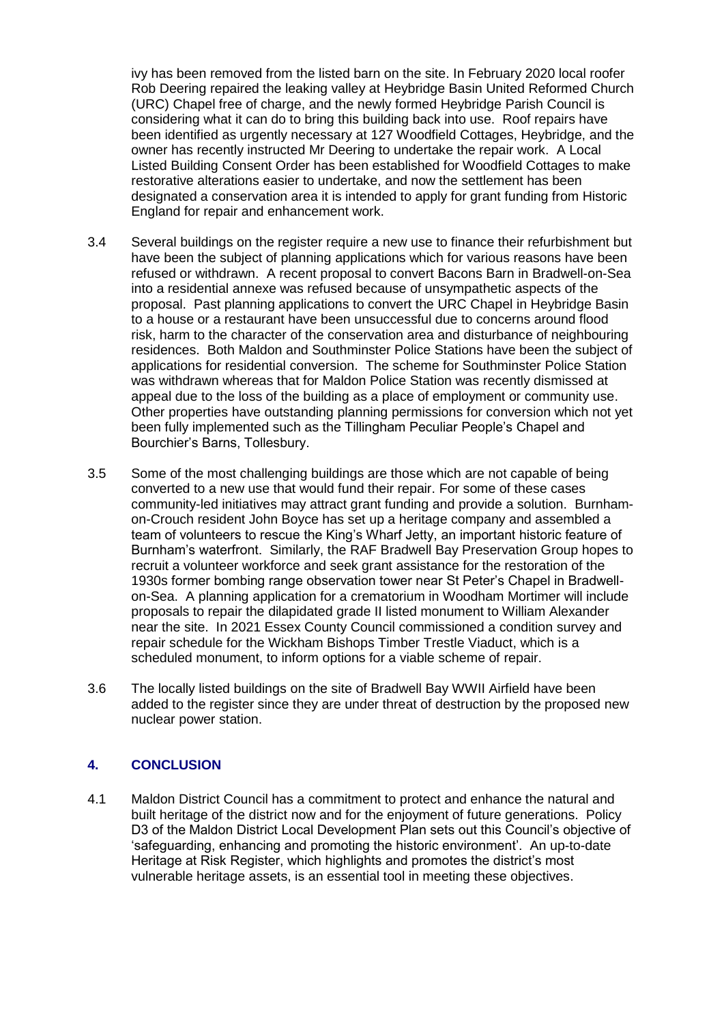ivy has been removed from the listed barn on the site. In February 2020 local roofer Rob Deering repaired the leaking valley at Heybridge Basin United Reformed Church (URC) Chapel free of charge, and the newly formed Heybridge Parish Council is considering what it can do to bring this building back into use. Roof repairs have been identified as urgently necessary at 127 Woodfield Cottages, Heybridge, and the owner has recently instructed Mr Deering to undertake the repair work. A Local Listed Building Consent Order has been established for Woodfield Cottages to make restorative alterations easier to undertake, and now the settlement has been designated a conservation area it is intended to apply for grant funding from Historic England for repair and enhancement work.

- 3.4 Several buildings on the register require a new use to finance their refurbishment but have been the subject of planning applications which for various reasons have been refused or withdrawn. A recent proposal to convert Bacons Barn in Bradwell-on-Sea into a residential annexe was refused because of unsympathetic aspects of the proposal. Past planning applications to convert the URC Chapel in Heybridge Basin to a house or a restaurant have been unsuccessful due to concerns around flood risk, harm to the character of the conservation area and disturbance of neighbouring residences. Both Maldon and Southminster Police Stations have been the subject of applications for residential conversion. The scheme for Southminster Police Station was withdrawn whereas that for Maldon Police Station was recently dismissed at appeal due to the loss of the building as a place of employment or community use. Other properties have outstanding planning permissions for conversion which not yet been fully implemented such as the Tillingham Peculiar People's Chapel and Bourchier's Barns, Tollesbury.
- 3.5 Some of the most challenging buildings are those which are not capable of being converted to a new use that would fund their repair. For some of these cases community-led initiatives may attract grant funding and provide a solution. Burnhamon-Crouch resident John Boyce has set up a heritage company and assembled a team of volunteers to rescue the King's Wharf Jetty, an important historic feature of Burnham's waterfront. Similarly, the RAF Bradwell Bay Preservation Group hopes to recruit a volunteer workforce and seek grant assistance for the restoration of the 1930s former bombing range observation tower near St Peter's Chapel in Bradwellon-Sea. A planning application for a crematorium in Woodham Mortimer will include proposals to repair the dilapidated grade II listed monument to William Alexander near the site. In 2021 Essex County Council commissioned a condition survey and repair schedule for the Wickham Bishops Timber Trestle Viaduct, which is a scheduled monument, to inform options for a viable scheme of repair.
- 3.6 The locally listed buildings on the site of Bradwell Bay WWII Airfield have been added to the register since they are under threat of destruction by the proposed new nuclear power station.

# **4. CONCLUSION**

4.1 Maldon District Council has a commitment to protect and enhance the natural and built heritage of the district now and for the enjoyment of future generations. Policy D3 of the Maldon District Local Development Plan sets out this Council's objective of 'safeguarding, enhancing and promoting the historic environment'. An up-to-date Heritage at Risk Register, which highlights and promotes the district's most vulnerable heritage assets, is an essential tool in meeting these objectives.